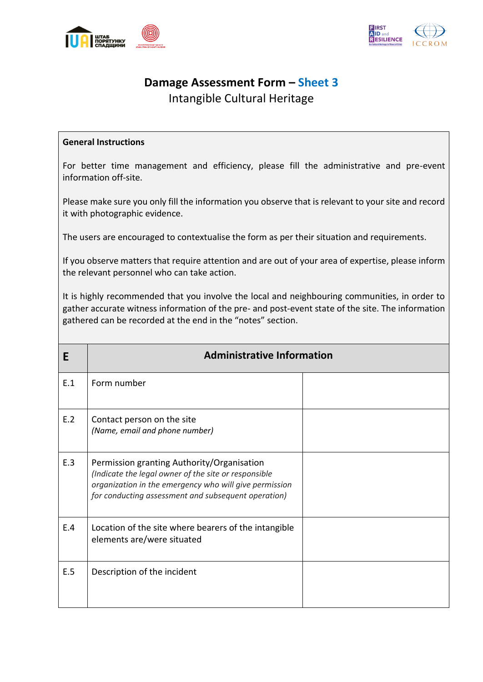



## **Damage Assessment Form – Sheet 3**

Intangible Cultural Heritage

## **General Instructions**

For better time management and efficiency, please fill the administrative and pre-event information off-site.

Please make sure you only fill the information you observe that is relevant to your site and record it with photographic evidence.

The users are encouraged to contextualise the form as per their situation and requirements.

If you observe matters that require attention and are out of your area of expertise, please inform the relevant personnel who can take action.

It is highly recommended that you involve the local and neighbouring communities, in order to gather accurate witness information of the pre- and post-event state of the site. The information gathered can be recorded at the end in the "notes" section.

| E   | <b>Administrative Information</b>                                                                                                                                                                                   |  |  |
|-----|---------------------------------------------------------------------------------------------------------------------------------------------------------------------------------------------------------------------|--|--|
| E.1 | Form number                                                                                                                                                                                                         |  |  |
| E.2 | Contact person on the site<br>(Name, email and phone number)                                                                                                                                                        |  |  |
| E.3 | Permission granting Authority/Organisation<br>(Indicate the legal owner of the site or responsible<br>organization in the emergency who will give permission<br>for conducting assessment and subsequent operation) |  |  |
| E.4 | Location of the site where bearers of the intangible<br>elements are/were situated                                                                                                                                  |  |  |
| E.5 | Description of the incident                                                                                                                                                                                         |  |  |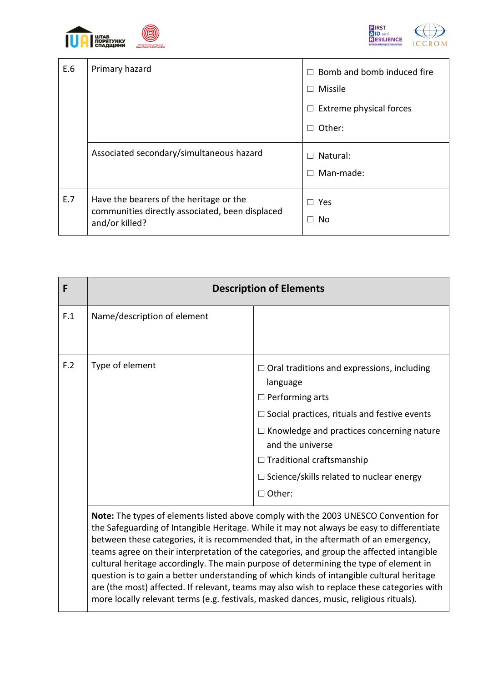

 $\overline{\phantom{a}}$ 

 $\mathsf{l}$ 



| E.6 | Primary hazard                                                                                               | Bomb and bomb induced fire<br>П.<br>$\Box$ Missile |
|-----|--------------------------------------------------------------------------------------------------------------|----------------------------------------------------|
|     |                                                                                                              | $\Box$ Extreme physical forces<br>Other:<br>П      |
|     | Associated secondary/simultaneous hazard                                                                     | Natural:<br>П<br>$\Box$ Man-made:                  |
| E.7 | Have the bearers of the heritage or the<br>communities directly associated, been displaced<br>and/or killed? | $\Box$ Yes<br>No<br>П                              |

| F   | <b>Description of Elements</b>                                                                                                                                                                                                                                                                                                                                                                                                                                                                                                                                                                                                                                                                                                                    |                                                                                                                                                                                                                                                                                                                                |  |
|-----|---------------------------------------------------------------------------------------------------------------------------------------------------------------------------------------------------------------------------------------------------------------------------------------------------------------------------------------------------------------------------------------------------------------------------------------------------------------------------------------------------------------------------------------------------------------------------------------------------------------------------------------------------------------------------------------------------------------------------------------------------|--------------------------------------------------------------------------------------------------------------------------------------------------------------------------------------------------------------------------------------------------------------------------------------------------------------------------------|--|
| F.1 | Name/description of element                                                                                                                                                                                                                                                                                                                                                                                                                                                                                                                                                                                                                                                                                                                       |                                                                                                                                                                                                                                                                                                                                |  |
| F.2 | Type of element                                                                                                                                                                                                                                                                                                                                                                                                                                                                                                                                                                                                                                                                                                                                   | $\Box$ Oral traditions and expressions, including<br>language<br>$\Box$ Performing arts<br>$\Box$ Social practices, rituals and festive events<br>$\Box$ Knowledge and practices concerning nature<br>and the universe<br>$\Box$ Traditional craftsmanship<br>$\Box$ Science/skills related to nuclear energy<br>$\Box$ Other: |  |
|     | Note: The types of elements listed above comply with the 2003 UNESCO Convention for<br>the Safeguarding of Intangible Heritage. While it may not always be easy to differentiate<br>between these categories, it is recommended that, in the aftermath of an emergency,<br>teams agree on their interpretation of the categories, and group the affected intangible<br>cultural heritage accordingly. The main purpose of determining the type of element in<br>question is to gain a better understanding of which kinds of intangible cultural heritage<br>are (the most) affected. If relevant, teams may also wish to replace these categories with<br>more locally relevant terms (e.g. festivals, masked dances, music, religious rituals). |                                                                                                                                                                                                                                                                                                                                |  |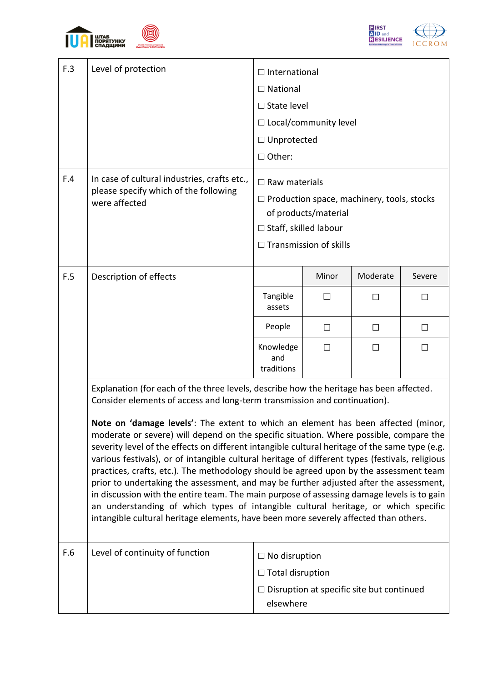





| F.3 | Level of protection                                                                                                                                                                                                                                                                                                                                                                                                                                                                                                                                                                                                                                                                                                                                                                                                                                                                                                                                                                                                                                                                 | $\Box$ International<br>$\Box$ National<br>$\Box$ State level<br>$\Box$ Local/community level<br>□ Unprotected<br>□ Other:                                         |                                                                                          |          |        |
|-----|-------------------------------------------------------------------------------------------------------------------------------------------------------------------------------------------------------------------------------------------------------------------------------------------------------------------------------------------------------------------------------------------------------------------------------------------------------------------------------------------------------------------------------------------------------------------------------------------------------------------------------------------------------------------------------------------------------------------------------------------------------------------------------------------------------------------------------------------------------------------------------------------------------------------------------------------------------------------------------------------------------------------------------------------------------------------------------------|--------------------------------------------------------------------------------------------------------------------------------------------------------------------|------------------------------------------------------------------------------------------|----------|--------|
| F.4 | In case of cultural industries, crafts etc.,<br>please specify which of the following<br>were affected                                                                                                                                                                                                                                                                                                                                                                                                                                                                                                                                                                                                                                                                                                                                                                                                                                                                                                                                                                              | $\Box$ Raw materials<br>$\Box$ Production space, machinery, tools, stocks<br>of products/material<br>$\Box$ Staff, skilled labour<br>$\Box$ Transmission of skills |                                                                                          |          |        |
| F.5 | Description of effects                                                                                                                                                                                                                                                                                                                                                                                                                                                                                                                                                                                                                                                                                                                                                                                                                                                                                                                                                                                                                                                              |                                                                                                                                                                    | Minor                                                                                    | Moderate | Severe |
|     |                                                                                                                                                                                                                                                                                                                                                                                                                                                                                                                                                                                                                                                                                                                                                                                                                                                                                                                                                                                                                                                                                     | Tangible<br>assets                                                                                                                                                 |                                                                                          | П        | $\Box$ |
|     |                                                                                                                                                                                                                                                                                                                                                                                                                                                                                                                                                                                                                                                                                                                                                                                                                                                                                                                                                                                                                                                                                     | People                                                                                                                                                             | $\Box$                                                                                   | П        | $\Box$ |
|     |                                                                                                                                                                                                                                                                                                                                                                                                                                                                                                                                                                                                                                                                                                                                                                                                                                                                                                                                                                                                                                                                                     | Knowledge<br>and<br>traditions                                                                                                                                     | П                                                                                        | П        | П      |
| F.6 | Explanation (for each of the three levels, describe how the heritage has been affected.<br>Consider elements of access and long-term transmission and continuation).<br>Note on 'damage levels': The extent to which an element has been affected (minor,<br>moderate or severe) will depend on the specific situation. Where possible, compare the<br>severity level of the effects on different intangible cultural heritage of the same type (e.g.<br>various festivals), or of intangible cultural heritage of different types (festivals, religious<br>practices, crafts, etc.). The methodology should be agreed upon by the assessment team<br>prior to undertaking the assessment, and may be further adjusted after the assessment,<br>in discussion with the entire team. The main purpose of assessing damage levels is to gain<br>an understanding of which types of intangible cultural heritage, or which specific<br>intangible cultural heritage elements, have been more severely affected than others.<br>Level of continuity of function<br>$\Box$ No disruption |                                                                                                                                                                    |                                                                                          |          |        |
|     |                                                                                                                                                                                                                                                                                                                                                                                                                                                                                                                                                                                                                                                                                                                                                                                                                                                                                                                                                                                                                                                                                     |                                                                                                                                                                    | $\Box$ Total disruption<br>$\Box$ Disruption at specific site but continued<br>elsewhere |          |        |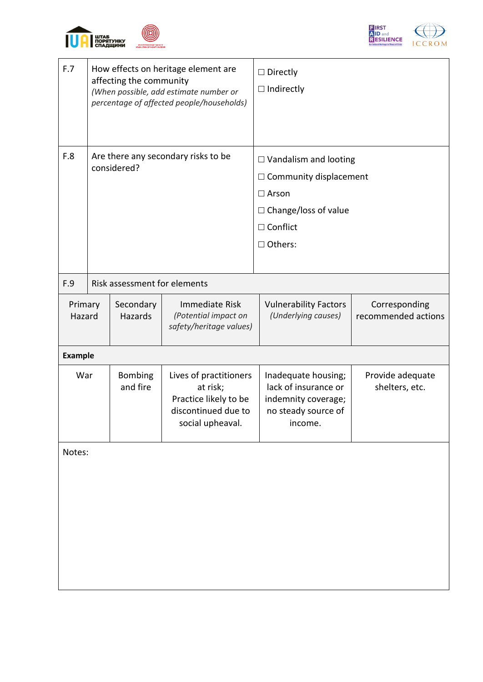





| F.7               | How effects on heritage element are<br>affecting the community<br>(When possible, add estimate number or<br>percentage of affected people/households) |                            | $\Box$ Directly<br>$\Box$ Indirectly                                                                                                         |                                                                                                      |                                      |
|-------------------|-------------------------------------------------------------------------------------------------------------------------------------------------------|----------------------------|----------------------------------------------------------------------------------------------------------------------------------------------|------------------------------------------------------------------------------------------------------|--------------------------------------|
| F.8               | Are there any secondary risks to be<br>considered?                                                                                                    |                            | $\Box$ Vandalism and looting<br>$\Box$ Community displacement<br>$\Box$ Arson<br>□ Change/loss of value<br>$\Box$ Conflict<br>$\Box$ Others: |                                                                                                      |                                      |
| F.9               | Risk assessment for elements                                                                                                                          |                            |                                                                                                                                              |                                                                                                      |                                      |
| Primary<br>Hazard |                                                                                                                                                       | Secondary<br>Hazards       | Immediate Risk<br>(Potential impact on<br>safety/heritage values)                                                                            | <b>Vulnerability Factors</b><br>(Underlying causes)                                                  | Corresponding<br>recommended actions |
| <b>Example</b>    |                                                                                                                                                       |                            |                                                                                                                                              |                                                                                                      |                                      |
| War               |                                                                                                                                                       | <b>Bombing</b><br>and fire | Lives of practitioners<br>at risk;<br>Practice likely to be<br>discontinued due to<br>social upheaval.                                       | Inadequate housing;<br>lack of insurance or<br>indemnity coverage;<br>no steady source of<br>income. | Provide adequate<br>shelters, etc.   |
| Notes:            |                                                                                                                                                       |                            |                                                                                                                                              |                                                                                                      |                                      |